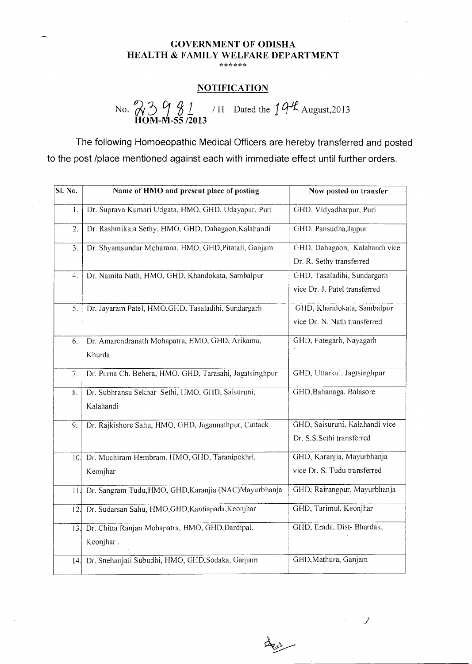## GOVERNMENT OF ODISHA HEALTH & FAMILY WELFARE DEPARTMENT

## **NOTIFICATION**

No.  $23981$  / H Dated the  $194$  August,2013 HOM-M-55 /2013

The following Homoeopathic Medical Officers are hereby transferred and posted to the post /place mentioned against each with immediate effect until further orders.

| Sl. No. | Name of HMO and present place of posting                      | Now posted on transfer                                       |
|---------|---------------------------------------------------------------|--------------------------------------------------------------|
| 1.      | Dr. Suprava Kumari Udgata, HMO, GHD, Udayapur, Puri           | GHD, Vidyadharpur, Puri                                      |
| 2.      | Dr. Rashmikala Sethy, HMO, GHD, Dahagaon, Kalahandi           | GHD, Pansudha, Jajpur                                        |
| 3.      | Dr. Shyamsundar Moharana, HMO, GHD, Pitatali, Ganjam          | GHD, Dahagaon, Kalahandi vice<br>Dr. R. Sethy transferred    |
| 4.      | Dr. Namita Nath, HMO, GHD, Khandokata, Sambalpur              | GHD, Tasaladihi, Sundargarh<br>vice Dr. J. Patel transferred |
| 5.      | Dr. Jayaram Patel, HMO, GHD, Tasaladihi, Sundargarh           | GHD, Khandokata, Sambalpur<br>vice Dr. N. Nath transferred   |
| 6.      | Dr. Amarendranath Mohapatra, HMO, GHD, Arikama,<br>Khurda     | GHD, Fategarh, Nayagarh                                      |
| 7.      | Dr. Purna Ch. Behera, HMO, GHD, Tarasahi, Jagatsinghpur       | GHD, Uttarkul, Jagtsinghpur                                  |
| 8.      | Dr. Subhransu Sekhar Sethi, HMO, GHD, Saisuruni,<br>Kalahandi | GHD, Bahanaga, Balasore                                      |
| 9.      | Dr. Rajkishore Sahu, HMO, GHD, Jagannathpur, Cuttack          | GHD, Saisuruni, Kalahandi vice<br>Dr. S.S.Sethi transferred  |
| 10.     | Dr. Muchiram Hembram, HMO, GHD, Taranipokhri,<br>Keonjhar     | GHD, Karanjia, Mayurbhanja<br>vice Dr. S. Tudu transferred   |
| 11.     | Dr. Sangram Tudu, HMO, GHD, Karanjia (NAC)Mayurbhanja         | GHD, Rairangpur, Mayurbhanja                                 |
| 12.     | Dr. Sudarsan Sahu, HMO, GHD, Kantiapada, Keonjhar             | GHD, Tarimul, Keonjhar                                       |
| 13.     | Dr. Chitta Ranjan Mohapatra, HMO, GHD, Dardipal,<br>Keonjhar. | GHD, Erada, Dist- Bhardak,                                   |
| 14.     | Dr. Snehanjali Subudhi, HMO, GHD, Sodaka, Ganjam              | GHD, Mathura, Ganjam                                         |

 $\overline{\phantom{a}}$ 

Star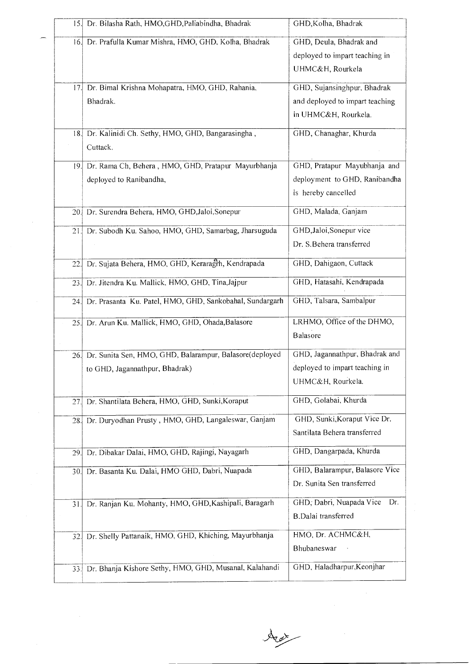| 15. | Dr. Bilasha Rath, HMO,GHD, Paliabindha, Bhadrak                                           | GHD, Kolha, Bhadrak                                                                    |
|-----|-------------------------------------------------------------------------------------------|----------------------------------------------------------------------------------------|
| 16. | Dr. Prafulla Kumar Mishra, HMO, GHD, Kolha, Bhadrak                                       | GHD, Deula, Bhadrak and<br>deployed to impart teaching in<br>UHMC&H, Rourkela          |
| 17. | Dr. Bimal Krishna Mohapatra, HMO, GHD, Rahania,<br>Bhadrak.                               | GHD, Sujansinghpur, Bhadrak<br>and deployed to impart teaching<br>in UHMC&H, Rourkela. |
| 18. | Dr. Kalinidi Ch. Sethy, HMO, GHD, Bangarasingha,<br>Cuttack.                              | GHD, Chanaghar, Khurda                                                                 |
| 19. | Dr. Rama Ch, Behera, HMO, GHD, Pratapur Mayurbhanja<br>deployed to Ranibandha,            | GHD, Pratapur Mayubhanja and<br>deployment to GHD, Ranibandha<br>is hereby cancelled   |
| 20. | Dr. Surendra Behera, HMO, GHD, Jaloi, Sonepur                                             | GHD, Malada, Ganjam                                                                    |
| 21. | Dr. Subodh Ku. Sahoo, HMO, GHD, Samarbag, Jharsuguda                                      | GHD, Jaloi, Sonepur vice<br>Dr. S.Behera transferred                                   |
| 22. | Dr. Sujata Behera, HMO, GHD, Keraragrh, Kendrapada                                        | GHD, Dahigaon, Cuttack                                                                 |
| 23. | Dr. Jitendra Ku. Mallick, HMO, GHD, Tina, Jajpur                                          | GHD, Hatasahi, Kendrapada                                                              |
| 24. | Dr. Prasanta Ku. Patel, HMO, GHD, Sankobahal, Sundargarh                                  | GHD, Talsara, Sambalpur                                                                |
| 25. | Dr. Arun Ku. Mallick, HMO, GHD, Ohada, Balasore                                           | LRHMO, Office of the DHMO,<br><b>Balasore</b>                                          |
| 26. | Dr. Sunita Sen, HMO, GHD, Balarampur, Balasore(deployed<br>to GHD, Jagannathpur, Bhadrak) | GHD, Jagannathpur, Bhadrak and<br>deployed to impart teaching in<br>UHMC&H, Rourkela.  |
| 27  | Dr. Shantilata Behera, HMO, GHD, Sunki, Koraput                                           | GHD, Golabai, Khurda                                                                   |
| 28. | Dr. Duryodhan Prusty, HMO, GHD, Langaleswar, Ganjam                                       | GHD, Sunki, Koraput Vice Dr.<br>Santilata Behera transferred                           |
| 29. | Dr. Dibakar Dalai, HMO, GHD, Rajingi, Nayagarh                                            | GHD, Dangarpada, Khurda                                                                |
| 30. | Dr. Basanta Ku. Dalai, HMO GHD, Dabri, Nuapada                                            | GHD, Balarampur, Balasore Vice<br>Dr. Sunita Sen transferred                           |
| 31. | Dr. Ranjan Ku. Mohanty, HMO, GHD, Kashipali, Baragarh                                     | GHD, Dabri, Nuapada Vice<br>Dr.<br>B.Dalai transferred                                 |
| 32. | Dr. Shelly Pattanaik, HMO, GHD, Khiching, Mayurbhanja                                     | HMO, Dr. ACHMC&H,<br>Bhubaneswar                                                       |
| 33. | Dr. Bhanja Kishore Sethy, HMO, GHD, Musanal, Kalahandi                                    | GHD, Haladharpur, Keonjhar                                                             |

Aut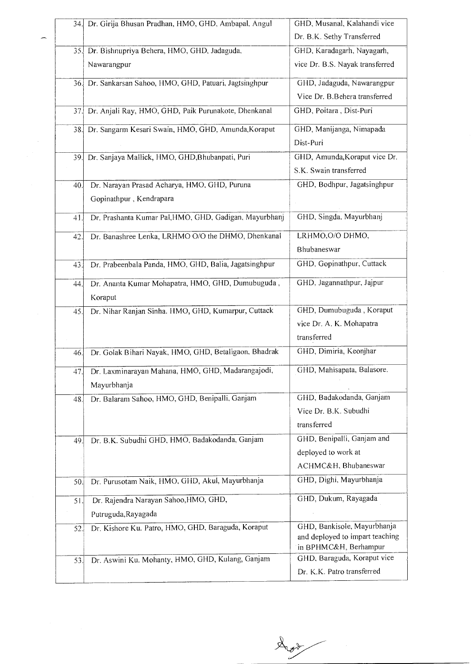| 34.I | Dr. Girija Bhusan Pradhan, HMO, GHD, Ambapal, Angul      | GHD, Musanal, Kalahandi vice                             |
|------|----------------------------------------------------------|----------------------------------------------------------|
|      |                                                          | Dr. B.K. Sethy Transferred                               |
|      | 35. Dr. Bishnupriya Behera, HMO, GHD, Jadaguda,          | GHD, Karadagarh, Nayagarh,                               |
|      | Nawarangpur                                              | vice Dr. B.S. Nayak transferred                          |
|      | 36. Dr. Sankarsan Sahoo, HMO, GHD, Patuari, Jagtsinghpur | GHD, Jadaguda, Nawarangpur                               |
|      |                                                          | Vice Dr. B.Behera transferred                            |
| 37.  | Dr. Anjali Ray, HMO, GHD, Paik Purunakote, Dhenkanal     | GHD, Poitara, Dist-Puri                                  |
| 38.  | Dr. Sangarm Kesari Swain, HMO, GHD, Amunda, Koraput      | GHD, Manijanga, Nimapada                                 |
|      |                                                          | Dist-Puri                                                |
| 39.  | Dr. Sanjaya Mallick, HMO, GHD, Bhubanpati, Puri          | GHD, Amunda, Koraput vice Dr.                            |
|      |                                                          | S.K. Swain transferred                                   |
| 40.  | Dr. Narayan Prasad Acharya, HMO, GHD, Puruna             | GHD, Bodhpur, Jagatsinghpur                              |
|      | Gopinathpur, Kendrapara                                  |                                                          |
| 41   | Dr. Prashanta Kumar Pal, HMO, GHD, Gadigan, Mayurbhanj   | GHD, Singda, Mayurbhanj                                  |
|      | Dr. Banashree Lenka, LRHMO O/O the DHMO, Dhenkanal       | LRHMO, O/O DHMO,                                         |
| 42.  |                                                          | Bhubaneswar                                              |
|      |                                                          | GHD, Gopinathpur, Cuttack                                |
| 43.  | Dr. Prabeenbala Panda, HMO, GHD, Balia, Jagatsinghpur    |                                                          |
| 44.  | Dr. Ananta Kumar Mohapatra, HMO, GHD, Dumubuguda,        | GHD, Jagannathpur, Jajpur                                |
|      | Koraput                                                  |                                                          |
| 45.  | Dr. Nihar Ranjan Sinha. HMO, GHD, Kumarpur, Cuttack      | GHD, Dumubuguda, Koraput                                 |
|      |                                                          | vice Dr. A. K. Mohapatra                                 |
|      |                                                          | transferred                                              |
| 46.  | Dr. Golak Bihari Nayak, HMO, GHD, Betaligaon, Bhadrak    | GHD, Dimiria, Keonjhar                                   |
| 47.  | Dr. Laxminarayan Mahana, HMO, GHD, Madarangajodi,        | GHD, Mahisapata, Balasore.                               |
|      | Mayurbhanja                                              |                                                          |
| 48.  | Dr. Balaram Sahoo, HMO, GHD, Benipalli, Ganjam           | GHD, Badakodanda, Ganjam                                 |
|      |                                                          | Vice Dr. B.K. Subudhi                                    |
|      |                                                          | transferred                                              |
| 49.  | Dr. B.K. Subudhi GHD, HMO, Badakodanda, Ganjam           | GHD, Benipalli, Ganjam and                               |
|      |                                                          | deployed to work at                                      |
|      |                                                          | ACHMC&H, Bhubaneswar                                     |
| 50.  | Dr. Purusotam Naik, HMO, GHD, Akul, Mayurbhanja          | GHD, Dighi, Mayurbhanja                                  |
| 51.  | Dr. Rajendra Narayan Sahoo, HMO, GHD,                    | GHD, Dukum, Rayagada                                     |
|      | Putruguda, Rayagada                                      |                                                          |
| 52.  | Dr. Kishore Ku. Patro, HMO, GHD, Baraguda, Koraput       | GHD, Bankisole, Mayurbhanja                              |
|      |                                                          | and deployed to impart teaching<br>in BPHMC&H, Berhampur |
| 53.  | Dr. Aswini Ku. Mohanty, HMO, GHD, Kulang, Ganjam         | GHD, Baraguda, Koraput vice                              |
|      |                                                          | Dr. K.K. Patro transferred                               |
|      |                                                          |                                                          |

Avr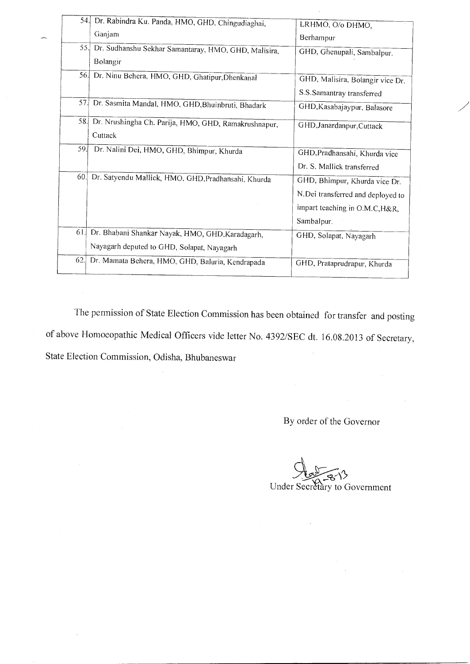| 54.  | Dr. Rabindra Ku. Panda, HMO, GHD, Chingudiaghai,                                               | LRHMO, O/o DHMO,                                                                                                   |
|------|------------------------------------------------------------------------------------------------|--------------------------------------------------------------------------------------------------------------------|
|      | Ganjam                                                                                         | Berhampur                                                                                                          |
| 55.  | Dr. Sudhanshu Sekhar Samantaray, HMO, GHD, Malisira,<br>Bolangir                               | GHD, Ghenupali, Sambalpur.                                                                                         |
|      | 56. Dr. Ninu Behera, HMO, GHD, Ghatipur, Dhenkanal                                             | GHD, Malisira, Bolangir vice Dr.                                                                                   |
|      |                                                                                                | S.S.Samantray transferred                                                                                          |
| 57.I | Dr. Sasmita Mandal, HMO, GHD, Bhuinbruti, Bhadark                                              | GHD, Kasabajaypur, Balasore                                                                                        |
| 58.  | Dr. Nrushingha Ch. Parija, HMO, GHD, Ramakrushnapur,<br>Cuttack                                | GHD, Janardanpur, Cuttack                                                                                          |
| 59   | Dr. Nalini Dei, HMO, GHD, Bhimpur, Khurda                                                      | GHD, Pradhansahi, Khurda vice<br>Dr. S. Mallick transferred                                                        |
| 60.  | Dr. Satyendu Mallick, HMO. GHD, Pradhansahi, Khurda                                            | GHD, Bhimpur, Khurda vice Dr.<br>N.Dei transferred and deployed to<br>impart teaching in O.M.C, H&R,<br>Sambalpur. |
| 61.  | Dr. Bhabani Shankar Nayak, HMO, GHD, Karadagarh,<br>Nayagarh deputed to GHD, Solapat, Nayagarh | GHD, Solapat, Nayagarh                                                                                             |
| 62.  | Dr. Mamata Behera, HMO, GHD, Baluria, Kendrapada                                               | GHD, Prataprudrapur, Khurda                                                                                        |

The permission of State Election Commission has been obtained for transfer and posting of above Homoeopathic Medical Officers vide letter No. 4392/SEC dt. 16.08.2013 of Secretary, State Election Commission, Odisha, Bhubaneswar

÷,

By order of the Governor

 $\bar{\gamma}$ 

Under Secretary to Government